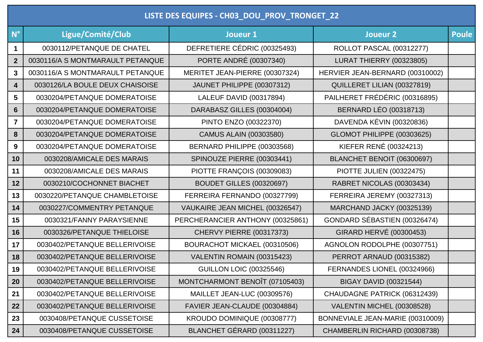|                         | LISTE DES EQUIPES - CH03_DOU_PROV_TRONGET_22 |                                  |                                  |              |  |  |  |
|-------------------------|----------------------------------------------|----------------------------------|----------------------------------|--------------|--|--|--|
| $N^{\circ}$             | Ligue/Comité/Club                            | Joueur 1                         | Joueur <sub>2</sub>              | <b>Poule</b> |  |  |  |
| $\mathbf 1$             | 0030112/PETANQUE DE CHATEL                   | DEFRETIERE CÉDRIC (00325493)     | <b>ROLLOT PASCAL (00312277)</b>  |              |  |  |  |
| $\overline{2}$          | 0030116/A S MONTMARAULT PETANQUE             | PORTE ANDRÉ (00307340)           | <b>LURAT THIERRY (00323805)</b>  |              |  |  |  |
| $\mathbf{3}$            | 0030116/A S MONTMARAULT PETANQUE             | MERITET JEAN-PIERRE (00307324)   | HERVIER JEAN-BERNARD (00310002)  |              |  |  |  |
| $\overline{\mathbf{4}}$ | 0030126/LA BOULE DEUX CHAISOISE              | JAUNET PHILIPPE (00307312)       | QUILLERET LILIAN (00327819)      |              |  |  |  |
| 5                       | 0030204/PETANQUE DOMERATOISE                 | LALEUF DAVID (00317894)          | PAILHERET FRÉDÉRIC (00316895)    |              |  |  |  |
| 6                       | 0030204/PETANQUE DOMERATOISE                 | DARABASZ GILLES (00304004)       | <b>BERNARD LÉO (00318713)</b>    |              |  |  |  |
| $\overline{7}$          | 0030204/PETANQUE DOMERATOISE                 | PINTO ENZO (00322370)            | DAVENDA KÉVIN (00320836)         |              |  |  |  |
| 8                       | 0030204/PETANQUE DOMERATOISE                 | CAMUS ALAIN (00303580)           | GLOMOT PHILIPPE (00303625)       |              |  |  |  |
| 9                       | 0030204/PETANQUE DOMERATOISE                 | BERNARD PHILIPPE (00303568)      | KIEFER RENÉ (00324213)           |              |  |  |  |
| 10                      | 0030208/AMICALE DES MARAIS                   | SPINOUZE PIERRE (00303441)       | BLANCHET BENOIT (06300697)       |              |  |  |  |
| 11                      | 0030208/AMICALE DES MARAIS                   | PIOTTE FRANÇOIS (00309083)       | <b>PIOTTE JULIEN (00322475)</b>  |              |  |  |  |
| 12                      | 0030210/COCHONNET BIACHET                    | <b>BOUDET GILLES (00320697)</b>  | RABRET NICOLAS (00303434)        |              |  |  |  |
| 13                      | 0030220/PETANQUE CHAMBLETOISE                | FERREIRA FERNANDO (00327799)     | FERREIRA JEREMY (00327313)       |              |  |  |  |
| 14                      | 0030227/COMMENTRY PETANQUE                   | VAUKAIRE JEAN MICHEL (00326547)  | MARCHAND JACKY (00325139)        |              |  |  |  |
| 15                      | 0030321/FANNY PARAYSIENNE                    | PERCHERANCIER ANTHONY (00325861) | GONDARD SÉBASTIEN (00326474)     |              |  |  |  |
| 16                      | 0030326/PETANQUE THIELOISE                   | <b>CHERVY PIERRE (00317373)</b>  | GIRARD HERVÉ (00300453)          |              |  |  |  |
| 17                      | 0030402/PETANQUE BELLERIVOISE                | BOURACHOT MICKAEL (00310506)     | AGNOLON RODOLPHE (00307751)      |              |  |  |  |
| 18                      | 0030402/PETANQUE BELLERIVOISE                | VALENTIN ROMAIN (00315423)       | PERROT ARNAUD (00315382)         |              |  |  |  |
| 19                      | 0030402/PETANQUE BELLERIVOISE                | <b>GUILLON LOIC (00325546)</b>   | FERNANDES LIONEL (00324966)      |              |  |  |  |
| 20                      | 0030402/PETANQUE BELLERIVOISE                | MONTCHARMONT BENOIT (07105403)   | <b>BIGAY DAVID (00321544)</b>    |              |  |  |  |
| 21                      | 0030402/PETANQUE BELLERIVOISE                | MAILLET JEAN-LUC (00309576)      | CHAUDAGNE PATRICK (06312439)     |              |  |  |  |
| 22                      | 0030402/PETANQUE BELLERIVOISE                | FAVIER JEAN-CLAUDE (00304884)    | VALENTIN MICHEL (00308528)       |              |  |  |  |
| 23                      | 0030408/PETANQUE CUSSETOISE                  | KROUDO DOMINIQUE (00308777)      | BONNEVIALE JEAN-MARIE (00310009) |              |  |  |  |
| 24                      | 0030408/PETANQUE CUSSETOISE                  | BLANCHET GÉRARD (00311227)       | CHAMBERLIN RICHARD (00308738)    |              |  |  |  |